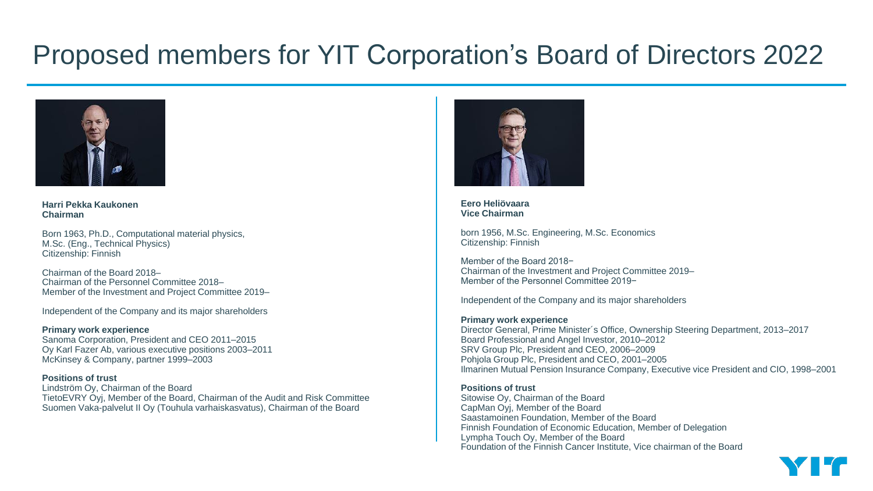

**Harri Pekka Kaukonen Chairman**

Born 1963, Ph.D., Computational material physics, M.Sc. (Eng., Technical Physics) Citizenship: Finnish

Chairman of the Board 2018– Chairman of the Personnel Committee 2018– Member of the Investment and Project Committee 2019–

Independent of the Company and its major shareholders

**Primary work experience** Sanoma Corporation, President and CEO 2011–2015 Oy Karl Fazer Ab, various executive positions 2003–2011 McKinsey & Company, partner 1999–2003

**Positions of trust** Lindström Oy, Chairman of the Board TietoEVRY Oyj, Member of the Board, Chairman of the Audit and Risk Committee Suomen Vaka-palvelut II Oy (Touhula varhaiskasvatus), Chairman of the Board



**Eero Heliövaara Vice Chairman**

born 1956, M.Sc. Engineering, M.Sc. Economics Citizenship: Finnish

Member of the Board 2018− Chairman of the Investment and Project Committee 2019– Member of the Personnel Committee 2019−

Independent of the Company and its major shareholders

#### **Primary work experience**

Director General, Prime Minister´s Office, Ownership Steering Department, 2013–2017 Board Professional and Angel Investor, 2010–2012 SRV Group Plc, President and CEO, 2006–2009 Pohjola Group Plc, President and CEO, 2001–2005 Ilmarinen Mutual Pension Insurance Company, Executive vice President and CIO, 1998–2001

# **Positions of trust**

Sitowise Oy, Chairman of the Board CapMan Oyj, Member of the Board Saastamoinen Foundation, Member of the Board Finnish Foundation of Economic Education, Member of Delegation Lympha Touch Oy, Member of the Board Foundation of the Finnish Cancer Institute, Vice chairman of the Board

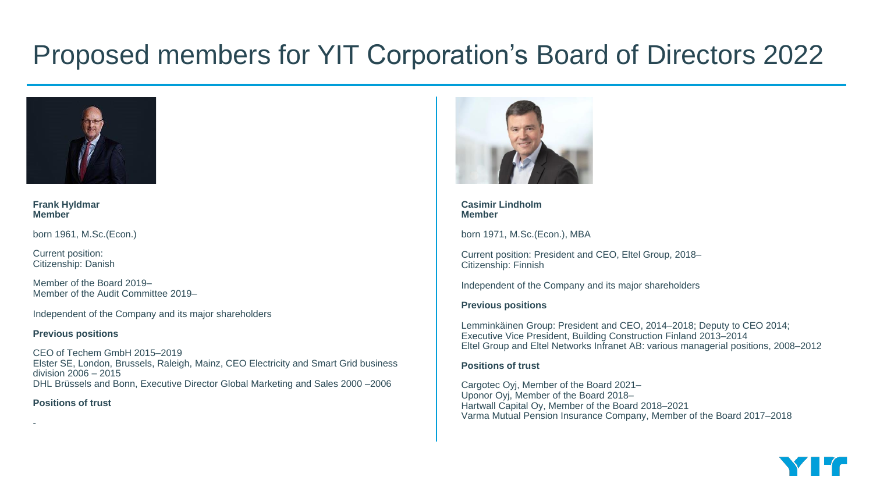

**Frank Hyldmar Member**

born 1961, M.Sc.(Econ.)

Current position: Citizenship: Danish

Member of the Board 2019– Member of the Audit Committee 2019–

Independent of the Company and its major shareholders

#### **Previous positions**

CEO of Techem GmbH 2015–2019 Elster SE, London, Brussels, Raleigh, Mainz, CEO Electricity and Smart Grid business division 2006 – 2015 DHL Brüssels and Bonn, Executive Director Global Marketing and Sales 2000 –2006

# **Positions of trust**

-



**Casimir Lindholm Member**

born 1971, M.Sc.(Econ.), MBA

Current position: President and CEO, Eltel Group, 2018– Citizenship: Finnish

Independent of the Company and its major shareholders

# **Previous positions**

Lemminkäinen Group: President and CEO, 2014–2018; Deputy to CEO 2014; Executive Vice President, Building Construction Finland 2013–2014 Eltel Group and Eltel Networks Infranet AB: various managerial positions, 2008–2012

# **Positions of trust**

Cargotec Oyj, Member of the Board 2021– Uponor Oyj, Member of the Board 2018– Hartwall Capital Oy, Member of the Board 2018–2021 Varma Mutual Pension Insurance Company, Member of the Board 2017–2018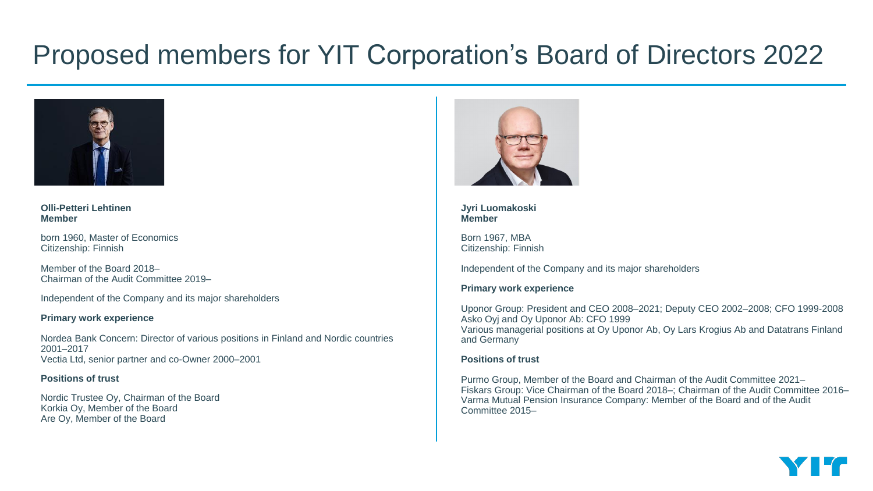

**Olli-Petteri Lehtinen Member**

born 1960, Master of Economics Citizenship: Finnish

Member of the Board 2018– Chairman of the Audit Committee 2019–

Independent of the Company and its major shareholders

# **Primary work experience**

Nordea Bank Concern: Director of various positions in Finland and Nordic countries 2001–2017 Vectia Ltd, senior partner and co-Owner 2000–2001

# **Positions of trust**

Nordic Trustee Oy, Chairman of the Board Korkia Oy, Member of the Board Are Oy, Member of the Board



#### **Jyri Luomakoski Member**

Born 1967, MBA Citizenship: Finnish

Independent of the Company and its major shareholders

# **Primary work experience**

Uponor Group: President and CEO 2008–2021; Deputy CEO 2002–2008; CFO 1999-2008 Asko Oyj and Oy Uponor Ab: CFO 1999 Various managerial positions at Oy Uponor Ab, Oy Lars Krogius Ab and Datatrans Finland and Germany

# **Positions of trust**

Purmo Group, Member of the Board and Chairman of the Audit Committee 2021– Fiskars Group: Vice Chairman of the Board 2018–; Chairman of the Audit Committee 2016– Varma Mutual Pension Insurance Company: Member of the Board and of the Audit Committee 2015–